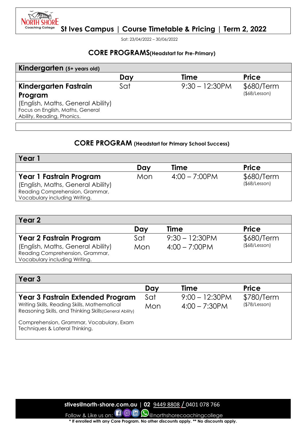*PALLING* NORTH SHORE **Coaching College** 

**St Ives Campus | Course Timetable & Pricing | Term 2, 2022**

Sat: 23/04/2022 – 30/06/2022

### **CORE PROGRAMS(Headstart for Pre-Primary)**

| Kindergarten (5+ years old)                                    |     |                   |                     |
|----------------------------------------------------------------|-----|-------------------|---------------------|
|                                                                | Day | <b>Time</b>       | <b>Price</b>        |
| Kindergarten Fastrain                                          | Sat | $9:30 - 12:30$ PM | \$680/Term          |
| Program                                                        |     |                   | $($ \$68/Lesson $)$ |
| (English, Maths, General Ability)                              |     |                   |                     |
|                                                                |     |                   |                     |
|                                                                |     |                   |                     |
| Focus on English, Maths, General<br>Ability, Reading, Phonics. |     |                   |                     |

### **CORE PROGRAM (Headstart for Primary School Success)**

| Year                                                                                                                             |     |                  |                                   |
|----------------------------------------------------------------------------------------------------------------------------------|-----|------------------|-----------------------------------|
|                                                                                                                                  | Dav | <b>Time</b>      | <b>Price</b>                      |
| Year 1 Fastrain Program<br>(English, Maths, General Ability)<br>Reading Comprehension, Grammar,<br>Vocabulary including Writing. | Mon | $4:00 - 7:00$ PM | \$680/Term<br>$($ \$68/Lesson $)$ |

| Year 2                                                                                                |     |                   |                     |
|-------------------------------------------------------------------------------------------------------|-----|-------------------|---------------------|
|                                                                                                       | Day | <b>Time</b>       | <b>Price</b>        |
| <b>Year 2 Fastrain Program</b>                                                                        | Sat | $9:30 - 12:30$ PM | \$680/Term          |
| (English, Maths, General Ability)<br>Reading Comprehension, Grammar,<br>Vocabulary including Writing. | Mon | $4:00 - 7:00$ PM  | $($ \$68/Lesson $)$ |

| Year 3                                                                                                                                             |            |                                       |                             |
|----------------------------------------------------------------------------------------------------------------------------------------------------|------------|---------------------------------------|-----------------------------|
|                                                                                                                                                    | Day        | <b>Time</b>                           | <b>Price</b>                |
| <b>Year 3 Fastrain Extended Program</b><br>Writing Skills, Reading Skills, Mathematical<br>Reasoning Skills, and Thinking Skills (General Ability) | Sat<br>Mon | $9:00 - 12:30$ PM<br>$4:00 - 7:30$ PM | \$780/Term<br>(\$78/Lesson) |
| Comprehension, Grammar, Vocabulary, Exam<br>Techniques & Lateral Thinking.                                                                         |            |                                       |                             |

 **stives@north-shore.com.au | 02** 9449 8808 / 0401 078 766

Follow & Like us on:  $\Box$  @  $\Box$  @northshorecoachingcollege **\* If enrolled with any Core Program. No other discounts apply. \*\* No discounts apply.**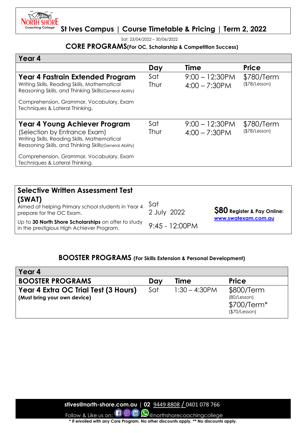

Sat: 23/04/2022 – 30/06/2022

### **CORE PROGRAMS(For OC, Scholarship & Competition Success)**

| Year 4                                                                                                                                                                                                                                                 |             |                                       |                             |
|--------------------------------------------------------------------------------------------------------------------------------------------------------------------------------------------------------------------------------------------------------|-------------|---------------------------------------|-----------------------------|
|                                                                                                                                                                                                                                                        | Day         | <b>Time</b>                           | <b>Price</b>                |
| Year 4 Fastrain Extended Program<br>Writing Skills, Reading Skills, Mathematical<br>Reasoning Skills, and Thinking Skills (General Ability)                                                                                                            | Sat<br>Thur | $9:00 - 12:30$ PM<br>$4:00 - 7:30$ PM | \$780/Term<br>(\$78/Lesson) |
| Comprehension, Grammar, Vocabulary, Exam<br>Techniques & Lateral Thinking.                                                                                                                                                                             |             |                                       |                             |
| Year 4 Young Achiever Program<br>(Selection by Entrance Exam)<br>Writing Skills, Reading Skills, Mathematical<br>Reasoning Skills, and Thinking Skills (General Ability)<br>Comprehension, Grammar, Vocabulary, Exam<br>Techniques & Lateral Thinking. | Sat<br>Thur | $9:00 - 12:30PM$<br>$4:00 - 7:30$ PM  | \$780/Term<br>(\$78/Lesson) |
|                                                                                                                                                                                                                                                        |             |                                       |                             |

| <b>Selective Written Assessment Test</b>                                                         |                    |                                   |
|--------------------------------------------------------------------------------------------------|--------------------|-----------------------------------|
| (SWAT)<br>Aimed at helping Primary school students in Year 4<br>prepare for the OC Exam.         | Sat<br>2 July 2022 | <b>S80</b> Register & Pay Online: |
| Up to 30 North Shore Scholarships on offer to study<br>in the prestigious High Achiever Program. | $9:45 - 12:00$ PM  | www.swatexam.com.au               |

### **BOOSTER PROGRAMS (For Skills Extension & Personal Development)**

| Year 4                                                               |     |                  |                                                            |
|----------------------------------------------------------------------|-----|------------------|------------------------------------------------------------|
| <b>BOOSTER PROGRAMS</b>                                              | Day | Time             | <b>Price</b>                                               |
| Year 4 Extra OC Trial Test (3 Hours)<br>(Must bring your own device) | Sat | $1:30 - 4:30$ PM | \$800/Term<br>(80/Lesson)<br>$$700/Term*$<br>(\$70/Lesson) |

 **stives@north-shore.com.au | 02** 9449 8808 / 0401 078 766

Follow & Like us on:  $\Box$  @ m  $\bigcirc$  anorthshorecoachingcollege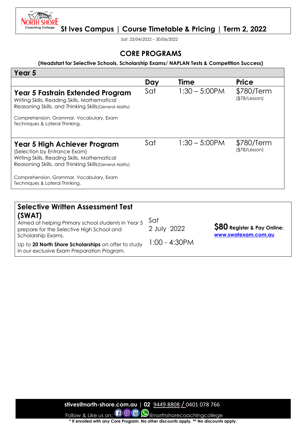

Sat: 23/04/2022 – 30/06/2022

### **CORE PROGRAMS**

#### **(Headstart for Selective Schools, Scholarship Exams/ NAPLAN Tests & Competition Success)**

| Year 5                                                                                                                                                                  |     |                  |                             |
|-------------------------------------------------------------------------------------------------------------------------------------------------------------------------|-----|------------------|-----------------------------|
|                                                                                                                                                                         | Day | <b>Time</b>      | <b>Price</b>                |
| Year 5 Fastrain Extended Program<br>Writing Skills, Reading Skills, Mathematical<br>Reasoning Skills, and Thinking Skills (General Ability)                             | Sat | $1:30 - 5:00$ PM | \$780/Term<br>(\$78/Lesson) |
| Comprehension, Grammar, Vocabulary, Exam<br>Techniques & Lateral Thinking.                                                                                              |     |                  |                             |
| Year 5 High Achiever Program<br>(Selection by Entrance Exam)<br>Writing Skills, Reading Skills, Mathematical<br>Reasoning Skills, and Thinking Skills (General Ability) | Sat | $1:30 - 5:00$ PM | \$780/Term<br>(\$78/Lesson) |
| Comprehension, Grammar, Vocabulary, Exam<br>Techniques & Lateral Thinking.                                                                                              |     |                  |                             |

| <b>Selective Written Assessment Test</b><br>(SWAT)<br>Aimed at helping Primary school students in Year 5<br>prepare for the Selective High School and<br>Scholarship Exams.<br>Up to 20 North Shore Scholarships on offer to study | Sat<br>2 July 2022<br>1:00 - 4:30PM | <b>S80</b> Register & Pay Online:<br>www.swatexam.com.au |
|------------------------------------------------------------------------------------------------------------------------------------------------------------------------------------------------------------------------------------|-------------------------------------|----------------------------------------------------------|
| in our exclusive Exam Preparation Program.                                                                                                                                                                                         |                                     |                                                          |

 **stives@north-shore.com.au | 02** 9449 8808 / 0401 078 766

Follow & Like us on:  $\Box$  @ m  $\Box$  @northshorecoachingcollege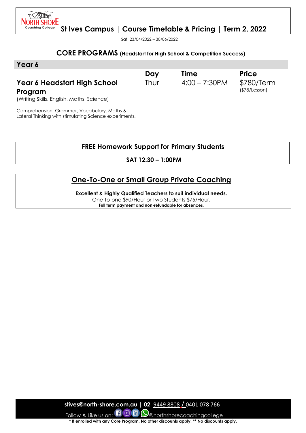

Sat: 23/04/2022 – 30/06/2022

#### **CORE PROGRAMS (Headstart for High School & Competition Success)**

| Year 6                                                                                                |      |                  |                             |
|-------------------------------------------------------------------------------------------------------|------|------------------|-----------------------------|
|                                                                                                       | Day  | <b>Time</b>      | <b>Price</b>                |
| Year 6 Headstart High School<br>Program<br>(Writing Skills, English, Maths, Science)                  | Thur | $4:00 - 7:30$ PM | \$780/Term<br>(\$78/Lesson) |
| Comprehension, Grammar, Vocabulary, Maths &<br>Lateral Thinking with stimulating Science experiments. |      |                  |                             |

# **FREE Homework Support for Primary Students**

**SAT 12:30 – 1:00PM**

## **One-To-One or Small Group Private Coaching**

**Excellent & Highly Qualified Teachers to suit individual needs.** 

One-to-one \$90/Hour or Two Students \$75/Hour. **Full term payment and non-refundable for absences.**

 **stives@north-shore.com.au | 02** 9449 8808 / 0401 078 766 Follow & Like us on:  $\Box$  @  $\Box$  @northshorecoachingcollege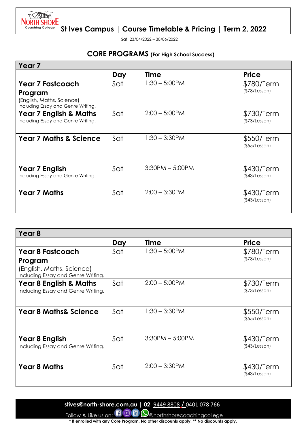

Sat: 23/04/2022 – 30/06/2022

## **CORE PROGRAMS (For High School Success)**

| Year <sub>7</sub>                                                          |     |                   |                             |
|----------------------------------------------------------------------------|-----|-------------------|-----------------------------|
|                                                                            | Day | Time              | <b>Price</b>                |
| <b>Year 7 Fastcoach</b>                                                    | Sat | $1:30 - 5:00$ PM  | \$780/Term                  |
| Program<br>(English, Maths, Science)<br>Including Essay and Genre Writing. |     |                   | (\$78/Lesson)               |
| <b>Year 7 English &amp; Maths</b><br>Including Essay and Genre Writing.    | Sat | $2:00 - 5:00$ PM  | \$730/Term<br>(\$73/Lesson) |
| <b>Year 7 Maths &amp; Science</b>                                          | Sat | $1:30 - 3:30$ PM  | \$550/Term<br>(\$55/Lesson) |
| <b>Year 7 English</b><br>Including Essay and Genre Writing.                | Sat | $3:30PM - 5:00PM$ | \$430/Term<br>(\$43/Lesson) |
| <b>Year 7 Maths</b>                                                        | Sat | $2:00 - 3:30$ PM  | \$430/Term<br>(\$43/Lesson) |

| Year 8                                                                  |     |                   |                             |
|-------------------------------------------------------------------------|-----|-------------------|-----------------------------|
|                                                                         | Day | Time              | <b>Price</b>                |
| <b>Year 8 Fastcoach</b>                                                 | Sat | $1:30 - 5:00$ PM  | \$780/Term                  |
| Program                                                                 |     |                   | (\$78/Lesson)               |
| (English, Maths, Science)<br>Including Essay and Genre Writing.         |     |                   |                             |
| <b>Year 8 English &amp; Maths</b><br>Including Essay and Genre Writing. | Sat | $2:00 - 5:00$ PM  | \$730/Term<br>(\$73/Lesson) |
|                                                                         |     |                   |                             |
| <b>Year 8 Maths&amp; Science</b>                                        | Sat | $1:30 - 3:30$ PM  | \$550/Term<br>(\$55/Lesson) |
| Year 8 English                                                          | Sat | $3:30PM - 5:00PM$ | \$430/Term                  |
| Including Essay and Genre Writing.                                      |     |                   | (\$43/Lesson)               |
| <b>Year 8 Maths</b>                                                     | Sat | $2:00 - 3:30$ PM  | \$430/Term                  |
|                                                                         |     |                   | (\$43/Lesson)               |

 **stives@north-shore.com.au | 02** 9449 8808 / 0401 078 766

Follow & Like us on:  $\Box$  @ m  $\Box$  @northshorecoachingcollege